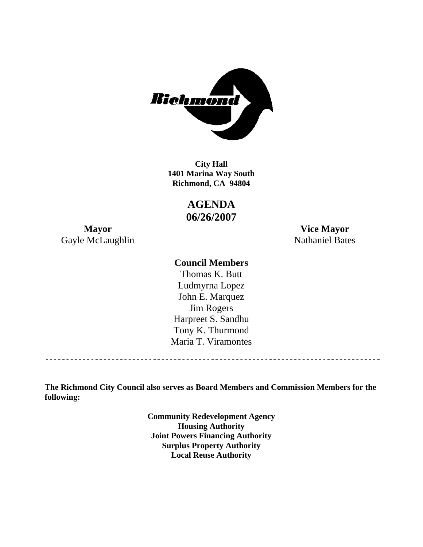

**1401 Marina Way South Richmond, CA 94804 City Hall** 

> **AGENDA 06/26/2007**

Gayle McLaughlin Nathaniel Bates

**Mayor Vice Mayor** 

### **Council Members**

Harpreet S. Sandhu Tony K. Thurmond Maria T. Viramontes Thomas K. Butt Ludmyrna Lopez John E. Marquez Jim Rogers

**The Richmond City Council also serves as Board Members and Commission Members for the following:** 

> **Community Redevelopment Agency Housing Authority Joint Powers Financing Authority Surplus Property Authority Local Reuse Authority**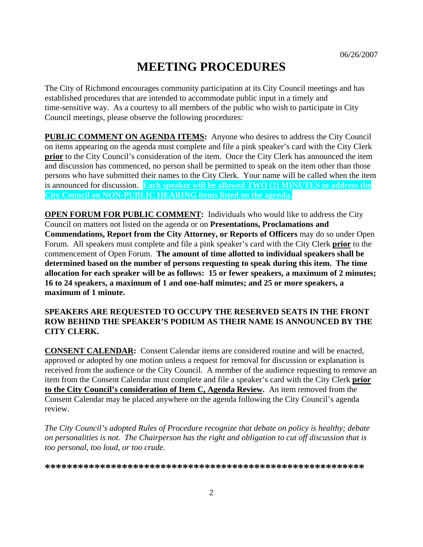# **MEETING PROCEDURES**

The City of Richmond encourages community participation at its City Council meetings and has established procedures that are intended to accommodate public input in a timely and time-sensitive way. As a courtesy to all members of the public who wish to participate in City Council meetings, please observe the following procedures:

**PUBLIC COMMENT ON AGENDA ITEMS:** Anyone who desires to address the City Council on items appearing on the agenda must complete and file a pink speaker's card with the City Clerk **prior** to the City Council's consideration of the item. Once the City Clerk has announced the item and discussion has commenced, no person shall be permitted to speak on the item other than those persons who have submitted their names to the City Clerk. Your name will be called when the item is announced for discussion. **Each speaker will be allowed TWO (2) MINUTES to address the City Council on NON-PUBLIC HEARING items listed on the agenda.** 

**OPEN FORUM FOR PUBLIC COMMENT:** Individuals who would like to address the City Council on matters not listed on the agenda or on **Presentations, Proclamations and Commendations, Report from the City Attorney, or Reports of Officers** may do so under Open Forum. All speakers must complete and file a pink speaker's card with the City Clerk **prior** to the commencement of Open Forum. **The amount of time allotted to individual speakers shall be determined based on the number of persons requesting to speak during this item. The time allocation for each speaker will be as follows: 15 or fewer speakers, a maximum of 2 minutes; 16 to 24 speakers, a maximum of 1 and one-half minutes; and 25 or more speakers, a maximum of 1 minute.** 

#### **SPEAKERS ARE REQUESTED TO OCCUPY THE RESERVED SEATS IN THE FRONT ROW BEHIND THE SPEAKER'S PODIUM AS THEIR NAME IS ANNOUNCED BY THE CITY CLERK.**

**CONSENT CALENDAR:** Consent Calendar items are considered routine and will be enacted, approved or adopted by one motion unless a request for removal for discussion or explanation is received from the audience or the City Council. A member of the audience requesting to remove an item from the Consent Calendar must complete and file a speaker's card with the City Clerk **prior to the City Council's consideration of Item C, Agenda Review.** An item removed from the Consent Calendar may be placed anywhere on the agenda following the City Council's agenda review.

*The City Council's adopted Rules of Procedure recognize that debate on policy is healthy; debate on personalities is not. The Chairperson has the right and obligation to cut off discussion that is too personal, too loud, or too crude.* 

**\*\*\*\*\*\*\*\*\*\*\*\*\*\*\*\*\*\*\*\*\*\*\*\*\*\*\*\*\*\*\*\*\*\*\*\*\*\*\*\*\*\*\*\*\*\*\*\*\*\*\*\*\*\*\*\*\*\***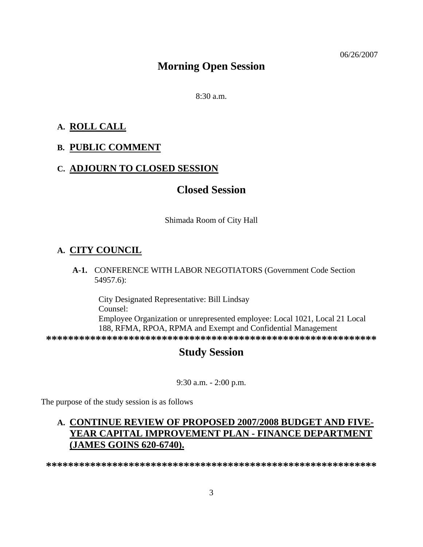## **Morning Open Session**

 $8:30 a.m.$ 

#### **A. ROLL CALL**

#### **B. PUBLIC COMMENT**

#### **C. ADJOURN TO CLOSED SESSION**

## **Closed Session**

Shimada Room of City Hall

## **A. CITY COUNCIL**

 **A-1.** CONFERENCE WITH LABOR NEGOTIATORS (Government Code Section 54957.6):

City Designated Representative: Bill Lindsay Counsel: Employee Organization or unrepresented employee: Local 1021, Local 21 Local 188, RFMA, RPOA, RPMA and Exempt and Confidential Management **\*\*\*\*\*\*\*\*\*\*\*\*\*\*\*\*\*\*\*\*\*\*\*\*\*\*\*\*\*\*\*\*\*\*\*\*\*\*\*\*\*\*\*\*\*\*\*\*\*\*\*\*\*\*\*\*\*\*\*\*** 

## **Study Session**

9:30 a.m. - 2:00 p.m.

The purpose of the study session is as follows

## **A. CONTINUE REVIEW OF PROPOSED 2007/2008 BUDGET AND FIVE-YEAR CAPITAL IMPROVEMENT PLAN - FINANCE DEPARTMENT (JAMES GOINS 620-6740).**

**\*\*\*\*\*\*\*\*\*\*\*\*\*\*\*\*\*\*\*\*\*\*\*\*\*\*\*\*\*\*\*\*\*\*\*\*\*\*\*\*\*\*\*\*\*\*\*\*\*\*\*\*\*\*\*\*\*\*\*\***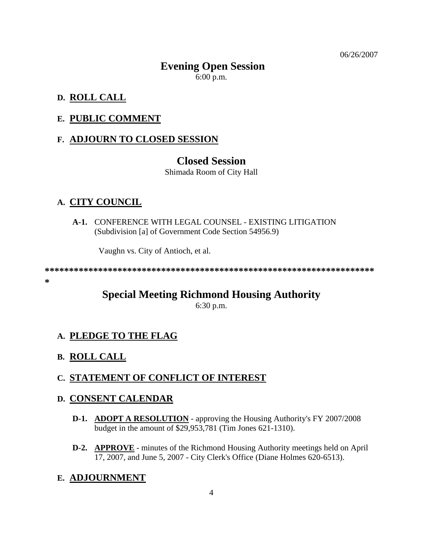06/26/2007

## **Evening Open Session**  6:00 p.m.

#### **D. ROLL CALL**

#### **E. PUBLIC COMMENT**

#### **F. ADJOURN TO CLOSED SESSION**

#### **Closed Session**

Shimada Room of City Hall

#### **A. CITY COUNCIL**

 **A-1.** CONFERENCE WITH LEGAL COUNSEL - EXISTING LITIGATION (Subdivision [a] of Government Code Section 54956.9)

Vaughn vs. City of Antioch, et al.

**\*\*\*\*\*\*\*\*\*\*\*\*\*\*\*\*\*\*\*\*\*\*\*\*\*\*\*\*\*\*\*\*\*\*\*\*\*\*\*\*\*\*\*\*\*\*\*\*\*\*\*\*\*\*\*\*\*\*\*\*\*\*\*\*\*\*\*\***

#### **\***

## **Special Meeting Richmond Housing Authority**

6:30 p.m.

#### **A. PLEDGE TO THE FLAG**

#### **B. ROLL CALL**

#### **C. STATEMENT OF CONFLICT OF INTEREST**

#### **D. CONSENT CALENDAR**

- **D-1. ADOPT A RESOLUTION** approving the Housing Authority's FY 2007/2008 budget in the amount of \$29,953,781 (Tim Jones 621-1310).
- **D-2. APPROVE** minutes of the Richmond Housing Authority meetings held on April 17, 2007, and June 5, 2007 - City Clerk's Office (Diane Holmes 620-6513).

#### **E. ADJOURNMENT**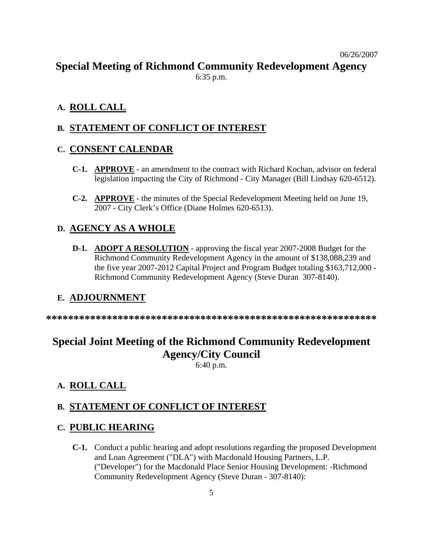## **Special Meeting of Richmond Community Redevelopment Agency**

6:35 p.m.

### **A. ROLL CALL**

## **B. STATEMENT OF CONFLICT OF INTEREST**

### **C. CONSENT CALENDAR**

- **C-1. APPROVE** an amendment to the contract with Richard Kochan, advisor on federal legislation impacting the City of Richmond - City Manager (Bill Lindsay 620-6512).
- **C-2. APPROVE** the minutes of the Special Redevelopment Meeting held on June 19, 2007 - City Clerk's Office (Diane Holmes 620-6513).

### **D. AGENCY AS A WHOLE**

 **D-1. ADOPT A RESOLUTION** - approving the fiscal year 2007-2008 Budget for the Richmond Community Redevelopment Agency in the amount of \$138,088,239 and the five year 2007-2012 Capital Project and Program Budget totaling \$163,712,000 - Richmond Community Redevelopment Agency (Steve Duran 307-8140).

### **E. ADJOURNMENT**

**\*\*\*\*\*\*\*\*\*\*\*\*\*\*\*\*\*\*\*\*\*\*\*\*\*\*\*\*\*\*\*\*\*\*\*\*\*\*\*\*\*\*\*\*\*\*\*\*\*\*\*\*\*\*\*\*\*\*\*\*** 

# **Special Joint Meeting of the Richmond Community Redevelopment Agency/City Council**

6:40 p.m.

### **A. ROLL CALL**

### **B. STATEMENT OF CONFLICT OF INTEREST**

### **C. PUBLIC HEARING**

 **C-1.** Conduct a public hearing and adopt resolutions regarding the proposed Development and Loan Agreement ("DLA") with Macdonald Housing Partners, L.P. ("Developer") for the Macdonald Place Senior Housing Development: -Richmond Community Redevelopment Agency (Steve Duran - 307-8140):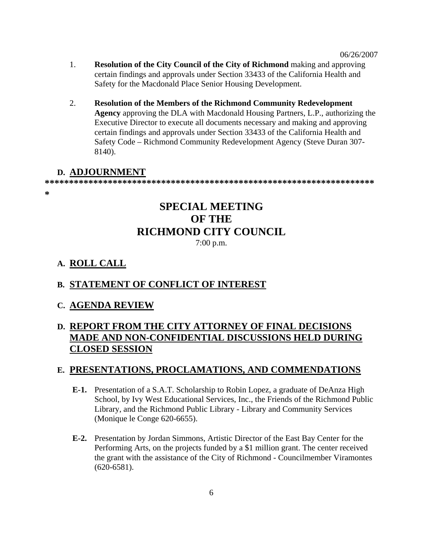- 1. **Resolution of the City Council of the City of Richmond** making and approving certain findings and approvals under Section 33433 of the California Health and Safety for the Macdonald Place Senior Housing Development.
- 2. **Resolution of the Members of the Richmond Community Redevelopment Agency** approving the DLA with Macdonald Housing Partners, L.P., authorizing the Executive Director to execute all documents necessary and making and approving certain findings and approvals under Section 33433 of the California Health and Safety Code – Richmond Community Redevelopment Agency (Steve Duran 307- 8140).

#### **D. ADJOURNMENT**

**\*\*\*\*\*\*\*\*\*\*\*\*\*\*\*\*\*\*\*\*\*\*\*\*\*\*\*\*\*\*\*\*\*\*\*\*\*\*\*\*\*\*\*\*\*\*\*\*\*\*\*\*\*\*\*\*\*\*\*\*\*\*\*\*\*\*\*\***

**\*** 

## **SPECIAL MEETING OF THE RICHMOND CITY COUNCIL**  7:00 p.m.

### **A. ROLL CALL**

### **B. STATEMENT OF CONFLICT OF INTEREST**

**C. AGENDA REVIEW**

## **D. REPORT FROM THE CITY ATTORNEY OF FINAL DECISIONS MADE AND NON-CONFIDENTIAL DISCUSSIONS HELD DURING CLOSED SESSION**

### **E. PRESENTATIONS, PROCLAMATIONS, AND COMMENDATIONS**

- **E-1.** Presentation of a S.A.T. Scholarship to Robin Lopez, a graduate of DeAnza High School, by Ivy West Educational Services, Inc., the Friends of the Richmond Public Library, and the Richmond Public Library - Library and Community Services (Monique le Conge 620-6655).
- **E-2.** Presentation by Jordan Simmons, Artistic Director of the East Bay Center for the Performing Arts, on the projects funded by a \$1 million grant. The center received the grant with the assistance of the City of Richmond - Councilmember Viramontes (620-6581).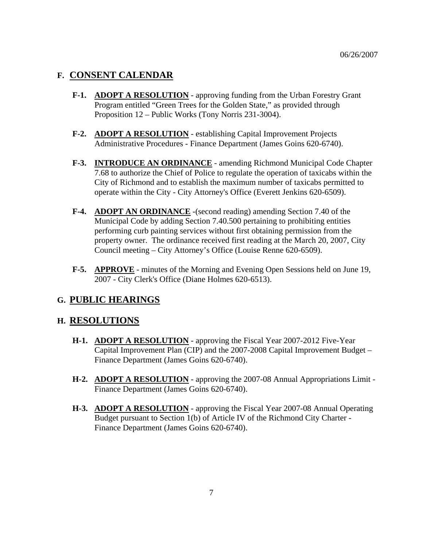### **F. CONSENT CALENDAR**

- **F-1. ADOPT A RESOLUTION** approving funding from the Urban Forestry Grant Program entitled "Green Trees for the Golden State," as provided through Proposition 12 – Public Works (Tony Norris 231-3004).
- **F-2. ADOPT A RESOLUTION** establishing Capital Improvement Projects Administrative Procedures - Finance Department (James Goins 620-6740).
- **F-3. INTRODUCE AN ORDINANCE** amending Richmond Municipal Code Chapter 7.68 to authorize the Chief of Police to regulate the operation of taxicabs within the City of Richmond and to establish the maximum number of taxicabs permitted to operate within the City - City Attorney's Office (Everett Jenkins 620-6509).
- **F-4. ADOPT AN ORDINANCE** -(second reading) amending Section 7.40 of the Municipal Code by adding Section 7.40.500 pertaining to prohibiting entities performing curb painting services without first obtaining permission from the property owner. The ordinance received first reading at the March 20, 2007, City Council meeting – City Attorney's Office (Louise Renne 620-6509).
- **F-5. APPROVE** minutes of the Morning and Evening Open Sessions held on June 19, 2007 - City Clerk's Office (Diane Holmes 620-6513).

### **G. PUBLIC HEARINGS**

### **H. RESOLUTIONS**

- **H-1. ADOPT A RESOLUTION** approving the Fiscal Year 2007-2012 Five-Year Capital Improvement Plan (CIP) and the 2007-2008 Capital Improvement Budget – Finance Department (James Goins 620-6740).
- **H-2. ADOPT A RESOLUTION** approving the 2007-08 Annual Appropriations Limit Finance Department (James Goins 620-6740).
- **H-3. ADOPT A RESOLUTION** approving the Fiscal Year 2007-08 Annual Operating Budget pursuant to Section 1(b) of Article IV of the Richmond City Charter - Finance Department (James Goins 620-6740).